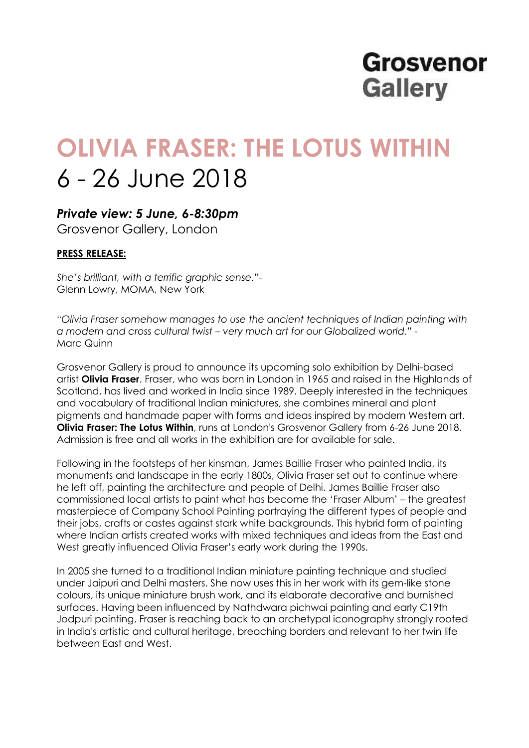## **Grosvenor Gallery**

# **OLIVIA FRASER: THE LOTUS WITHIN** 6 - 26 June 2018

### *Private view: 5 June, 6-8:30pm*

Grosvenor Gallery, London

#### **PRESS RELEASE:**

*She's brilliant, with a terrific graphic sense."-* Glenn Lowry, MOMA, New York

"*Olivia Fraser somehow manages to use the ancient techniques of Indian painting with a modern and cross cultural twist – very much art for our Globalized world." -* Marc Quinn

Grosvenor Gallery is proud to announce its upcoming solo exhibition by Delhi-based artist **Olivia Fraser**. Fraser, who was born in London in 1965 and raised in the Highlands of Scotland, has lived and worked in India since 1989. Deeply interested in the techniques and vocabulary of traditional Indian miniatures, she combines mineral and plant pigments and handmade paper with forms and ideas inspired by modern Western art. **Olivia Fraser: The Lotus Within**, runs at London's Grosvenor Gallery from 6-26 June 2018. Admission is free and all works in the exhibition are for available for sale.

Following in the footsteps of her kinsman, James Baillie Fraser who painted India, its monuments and landscape in the early 1800s, Olivia Fraser set out to continue where he left off, painting the architecture and people of Delhi. James Baillie Fraser also commissioned local artists to paint what has become the 'Fraser Album' – the greatest masterpiece of Company School Painting portraying the different types of people and their jobs, crafts or castes against stark white backgrounds. This hybrid form of painting where Indian artists created works with mixed techniques and ideas from the East and West greatly influenced Olivia Fraser's early work during the 1990s.

In 2005 she turned to a traditional Indian miniature painting technique and studied under Jaipuri and Delhi masters. She now uses this in her work with its gem-like stone colours, its unique miniature brush work, and its elaborate decorative and burnished surfaces. Having been influenced by Nathdwara pichwai painting and early C19th Jodpuri painting, Fraser is reaching back to an archetypal iconography strongly rooted in India's artistic and cultural heritage, breaching borders and relevant to her twin life between East and West.